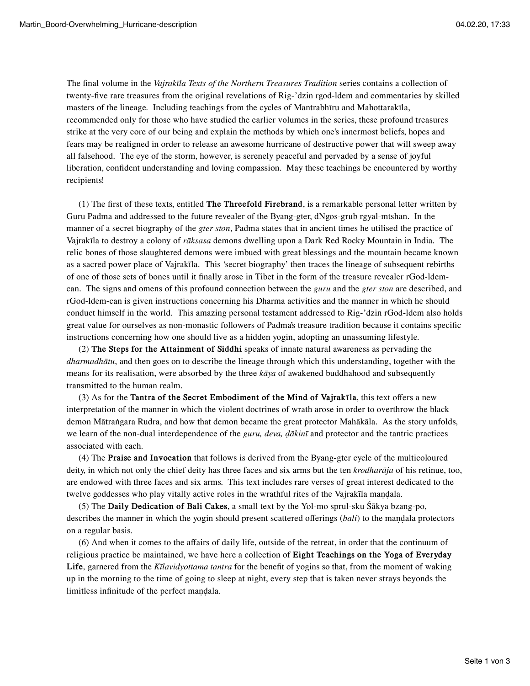The final volume in the *Vajrakīla Texts of the Northern Treasures Tradition* series contains a collection of twenty-five rare treasures from the original revelations of Rig-'dzin rgod-ldem and commentaries by skilled masters of the lineage. Including teachings from the cycles of Mantrabhīru and Mahottarakīla, recommended only for those who have studied the earlier volumes in the series, these profound treasures strike at the very core of our being and explain the methods by which one's innermost beliefs, hopes and fears may be realigned in order to release an awesome hurricane of destructive power that will sweep away all falsehood. The eye of the storm, however, is serenely peaceful and pervaded by a sense of joyful liberation, confident understanding and loving compassion. May these teachings be encountered by worthy recipients!

(1) The first of these texts, entitled **The Threefold Firebrand**, is a remarkable personal letter written by Guru Padma and addressed to the future revealer of the Byang-gter, dNgos-grub rgyal-mtshan. In the manner of a secret biography of the *gter ston*, Padma states that in ancient times he utilised the practice of Vajrakīla to destroy a colony of *rāksasa* demons dwelling upon a Dark Red Rocky Mountain in India. The relic bones of those slaughtered demons were imbued with great blessings and the mountain became known as a sacred power place of Vajrakīla. This 'secret biography' then traces the lineage of subsequent rebirths of one of those sets of bones until it finally arose in Tibet in the form of the treasure revealer rGod-ldemcan. The signs and omens of this profound connection between the *guru* and the *gter ston* are described, and rGod-ldem-can is given instructions concerning his Dharma activities and the manner in which he should conduct himself in the world. This amazing personal testament addressed to Rig-'dzin rGod-ldem also holds great value for ourselves as non-monastic followers of Padma's treasure tradition because it contains specific instructions concerning how one should live as a hidden yogin, adopting an unassuming lifestyle.

(2) **The Steps for the Attainment of Siddhi** speaks of innate natural awareness as pervading the *dharmadhātu*, and then goes on to describe the lineage through which this understanding, together with the means for its realisation, were absorbed by the three *kāya* of awakened buddhahood and subsequently transmitted to the human realm.

(3) As for the **Tantra of the Secret Embodiment of the Mind of Vajrakīla**, this text offers a new interpretation of the manner in which the violent doctrines of wrath arose in order to overthrow the black demon Mātraṅgara Rudra, and how that demon became the great protector Mahākāla. As the story unfolds, we learn of the non-dual interdependence of the *guru, deva, ḍākinī* and protector and the tantric practices associated with each.

(4) The **Praise and Invocation** that follows is derived from the Byang-gter cycle of the multicoloured deity, in which not only the chief deity has three faces and six arms but the ten *krodharāja* of his retinue, too, are endowed with three faces and six arms. This text includes rare verses of great interest dedicated to the twelve goddesses who play vitally active roles in the wrathful rites of the Vajrakīla maṇḍala.

(5) The **Daily Dedication of Bali Cakes**, a small text by the Yol-mo sprul-sku Śākya bzang-po, describes the manner in which the yogin should present scattered offerings (*bali*) to the mandala protectors on a regular basis.

(6) And when it comes to the affairs of daily life, outside of the retreat, in order that the continuum of religious practice be maintained, we have here a collection of **Eight Teachings on the Yoga of Everyday Life**, garnered from the *Kīlavidyottama tantra* for the benefit of yogins so that, from the moment of waking up in the morning to the time of going to sleep at night, every step that is taken never strays beyonds the limitless infinitude of the perfect maṇḍala.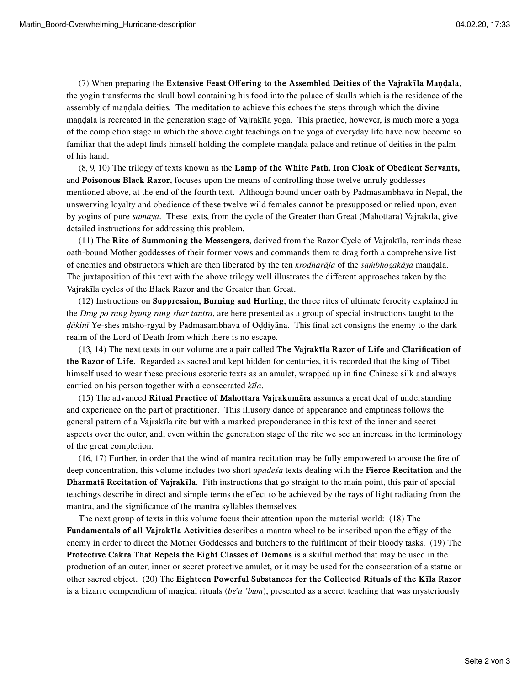(7) When preparing the **Extensive Feast Offering to the Assembled Deities of the Vajrakīla Maṇḍala**, the yogin transforms the skull bowl containing his food into the palace of skulls which is the residence of the assembly of mandala deities. The meditation to achieve this echoes the steps through which the divine maṇḍala is recreated in the generation stage of Vajrakīla yoga. This practice, however, is much more a yoga of the completion stage in which the above eight teachings on the yoga of everyday life have now become so familiar that the adept finds himself holding the complete mandala palace and retinue of deities in the palm of his hand.

(8, 9, 10) The trilogy of texts known as the **Lamp of the White Path, Iron Cloak of Obedient Servants,** and **Poisonous Black Razor**, focuses upon the means of controlling those twelve unruly goddesses mentioned above, at the end of the fourth text. Although bound under oath by Padmasambhava in Nepal, the unswerving loyalty and obedience of these twelve wild females cannot be presupposed or relied upon, even by yogins of pure *samaya*. These texts, from the cycle of the Greater than Great (Mahottara) Vajrakīla, give detailed instructions for addressing this problem.

(11) The **Rite of Summoning the Messengers**, derived from the Razor Cycle of Vajrakīla, reminds these oath-bound Mother goddesses of their former vows and commands them to drag forth a comprehensive list of enemies and obstructors which are then liberated by the ten *krodharāja* of the *saṁbhogakāya* maṇḍala. The juxtaposition of this text with the above trilogy well illustrates the different approaches taken by the Vajrakīla cycles of the Black Razor and the Greater than Great.

(12) Instructions on **Suppression, Burning and Hurling**, the three rites of ultimate ferocity explained in the *Drag po rang byung rang shar tantra*, are here presented as a group of special instructions taught to the *ḍākinī* Ye-shes mtsho-rgyal by Padmasambhava of Oḍḍiyāna. This final act consigns the enemy to the dark realm of the Lord of Death from which there is no escape.

(13, 14) The next texts in our volume are a pair called **The Vajrakīla Razor of Life** and **Clarification of the Razor of Life**. Regarded as sacred and kept hidden for centuries, it is recorded that the king of Tibet himself used to wear these precious esoteric texts as an amulet, wrapped up in fine Chinese silk and always carried on his person together with a consecrated *kīla*.

(15) The advanced **Ritual Practice of Mahottara Vajrakumāra** assumes a great deal of understanding and experience on the part of practitioner. This illusory dance of appearance and emptiness follows the general pattern of a Vajrakīla rite but with a marked preponderance in this text of the inner and secret aspects over the outer, and, even within the generation stage of the rite we see an increase in the terminology of the great completion.

(16, 17) Further, in order that the wind of mantra recitation may be fully empowered to arouse the fire of deep concentration, this volume includes two short *upadeśa* texts dealing with the **Fierce Recitation** and the **Dharmatā Recitation of Vajrakīla**. Pith instructions that go straight to the main point, this pair of special teachings describe in direct and simple terms the effect to be achieved by the rays of light radiating from the mantra, and the significance of the mantra syllables themselves.

The next group of texts in this volume focus their attention upon the material world: (18) The **Fundamentals of all Vajrakīla Activities** describes a mantra wheel to be inscribed upon the effigy of the enemy in order to direct the Mother Goddesses and butchers to the fulfilment of their bloody tasks. (19) The **Protective Cakra That Repels the Eight Classes of Demons** is a skilful method that may be used in the production of an outer, inner or secret protective amulet, or it may be used for the consecration of a statue or other sacred object. (20) The **Eighteen Powerful Substances for the Collected Rituals of the Kīla Razor** is a bizarre compendium of magical rituals (*be'u 'bum*), presented as a secret teaching that was mysteriously